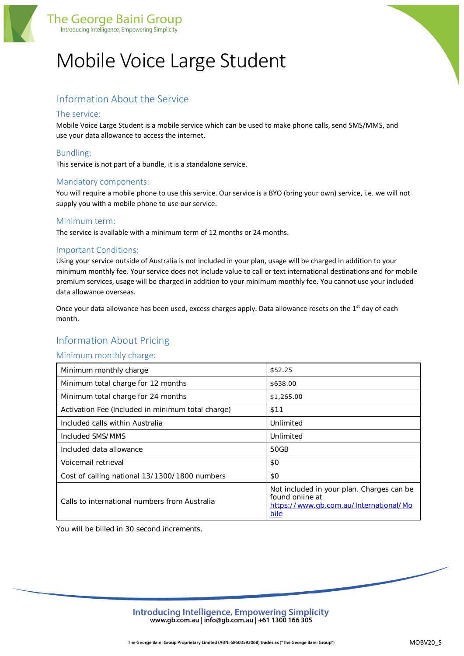

# Mobile Voice Large Student

# Information About the Service

## The service:

Mobile Voice Large Student is a mobile service which can be used to make phone calls, send SMS/MMS, and use your data allowance to access the internet.

# Bundling:

This service is not part of a bundle, it is a standalone service.

## Mandatory components:

You will require a mobile phone to use this service. Our service is a BYO (bring your own) service, i.e. we will not supply you with a mobile phone to use our service.

### Minimum term:

The service is available with a minimum term of 12 months or 24 months.

### Important Conditions:

Using your service outside of Australia is not included in your plan, usage will be charged in addition to your minimum monthly fee. Your service does not include value to call or text international destinations and for mobile premium services, usage will be charged in addition to your minimum monthly fee. You cannot use your included data allowance overseas.

Once your data allowance has been used, excess charges apply. Data allowance resets on the 1<sup>st</sup> day of each month.

# Information About Pricing

### Minimum monthly charge:

| Minimum monthly charge                            | \$52.25                                                                                                        |
|---------------------------------------------------|----------------------------------------------------------------------------------------------------------------|
| Minimum total charge for 12 months                | \$638.00                                                                                                       |
| Minimum total charge for 24 months                | \$1,265.00                                                                                                     |
| Activation Fee (Included in minimum total charge) | \$11                                                                                                           |
| Included calls within Australia                   | Unlimited                                                                                                      |
| Included SMS/MMS                                  | Unlimited                                                                                                      |
| Included data allowance                           | 50GB                                                                                                           |
| Voicemail retrieval                               | \$0                                                                                                            |
| Cost of calling national 13/1300/1800 numbers     | \$0                                                                                                            |
| Calls to international numbers from Australia     | Not included in your plan. Charges can be<br>found online at<br>https://www.qb.com.au/International/Mo<br>bile |

You will be billed in 30 second increments.

Introducing Intelligence, Empowering Simplicity www.gb.com.au | info@gb.com.au | +61 1300 166 305